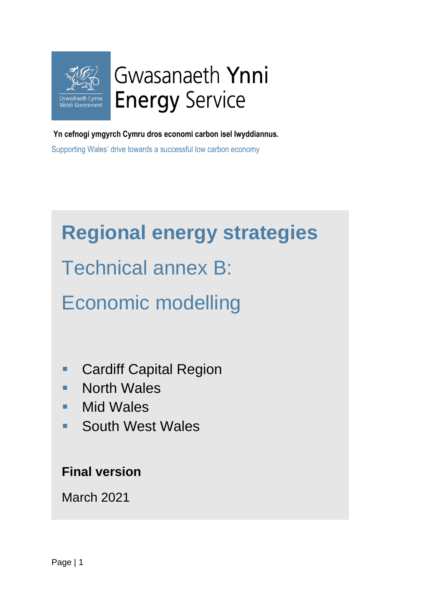

**Yn cefnogi ymgyrch Cymru dros economi carbon isel lwyddiannus.**

Supporting Wales' drive towards a successful low carbon economy

# **Regional energy strategies**

Technical annex B:

# Economic modelling

- Cardiff Capital Region
- North Wales
- Mid Wales
- South West Wales

### **Final version**

March 2021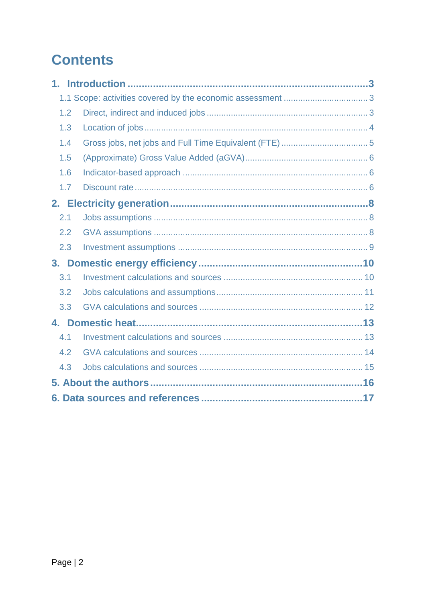## **Contents**

| $1_{-}$        |     |  |
|----------------|-----|--|
|                |     |  |
|                | 1.2 |  |
|                | 1.3 |  |
|                | 1.4 |  |
|                | 1.5 |  |
|                | 1.6 |  |
|                | 1.7 |  |
|                |     |  |
| 2.1            |     |  |
|                | 2.2 |  |
|                | 2.3 |  |
| 3 <sub>1</sub> |     |  |
| 3.1            |     |  |
|                | 3.2 |  |
|                | 3.3 |  |
|                |     |  |
| 4.1            |     |  |
| 4.2            |     |  |
|                | 4.3 |  |
|                |     |  |
|                |     |  |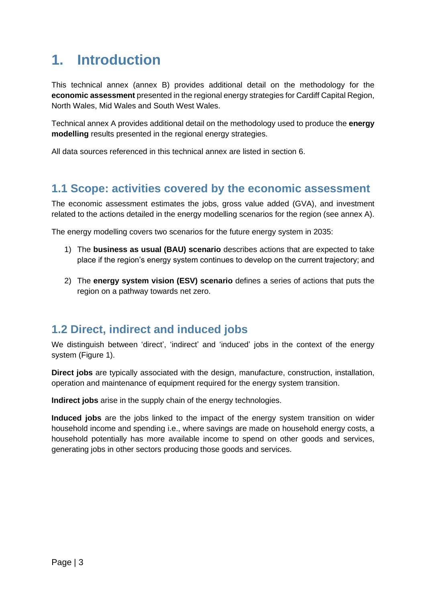### <span id="page-2-0"></span>**1. Introduction**

This technical annex (annex B) provides additional detail on the methodology for the **economic assessment** presented in the regional energy strategies for Cardiff Capital Region, North Wales, Mid Wales and South West Wales.

Technical annex A provides additional detail on the methodology used to produce the **energy modelling** results presented in the regional energy strategies.

All data sources referenced in this technical annex are listed in section 6.

#### <span id="page-2-1"></span>**1.1 Scope: activities covered by the economic assessment**

The economic assessment estimates the jobs, gross value added (GVA), and investment related to the actions detailed in the energy modelling scenarios for the region (see annex A).

The energy modelling covers two scenarios for the future energy system in 2035:

- 1) The **business as usual (BAU) scenario** describes actions that are expected to take place if the region's energy system continues to develop on the current trajectory; and
- 2) The **energy system vision (ESV) scenario** defines a series of actions that puts the region on a pathway towards net zero.

#### <span id="page-2-2"></span>**1.2 Direct, indirect and induced jobs**

We distinguish between 'direct', 'indirect' and 'induced' jobs in the context of the energy system (Figure 1).

**Direct jobs** are typically associated with the design, manufacture, construction, installation, operation and maintenance of equipment required for the energy system transition.

**Indirect jobs** arise in the supply chain of the energy technologies.

**Induced jobs** are the jobs linked to the impact of the energy system transition on wider household income and spending i.e., where savings are made on household energy costs, a household potentially has more available income to spend on other goods and services, generating jobs in other sectors producing those goods and services.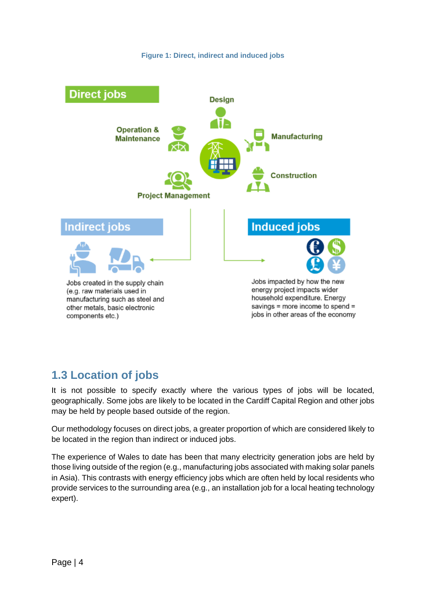



#### <span id="page-3-0"></span>**1.3 Location of jobs**

It is not possible to specify exactly where the various types of jobs will be located, geographically. Some jobs are likely to be located in the Cardiff Capital Region and other jobs may be held by people based outside of the region.

Our methodology focuses on direct jobs, a greater proportion of which are considered likely to be located in the region than indirect or induced jobs.

The experience of Wales to date has been that many electricity generation jobs are held by those living outside of the region (e.g., manufacturing jobs associated with making solar panels in Asia). This contrasts with energy efficiency jobs which are often held by local residents who provide services to the surrounding area (e.g., an installation job for a local heating technology expert).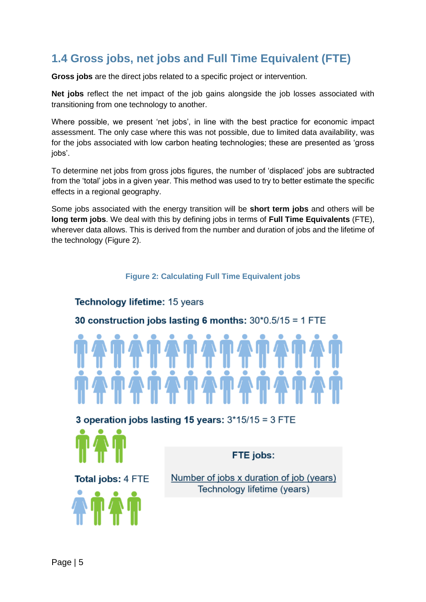### <span id="page-4-0"></span>**1.4 Gross jobs, net jobs and Full Time Equivalent (FTE)**

**Gross jobs** are the direct jobs related to a specific project or intervention.

**Net jobs** reflect the net impact of the job gains alongside the job losses associated with transitioning from one technology to another.

Where possible, we present 'net jobs', in line with the best practice for economic impact assessment. The only case where this was not possible, due to limited data availability, was for the jobs associated with low carbon heating technologies; these are presented as 'gross iobs'.

To determine net jobs from gross jobs figures, the number of 'displaced' jobs are subtracted from the 'total' jobs in a given year. This method was used to try to better estimate the specific effects in a regional geography.

Some jobs associated with the energy transition will be **short term jobs** and others will be **long term jobs**. We deal with this by defining jobs in terms of **Full Time Equivalents** (FTE), wherever data allows. This is derived from the number and duration of jobs and the lifetime of the technology (Figure 2).

#### **Figure 2: Calculating Full Time Equivalent jobs**

#### **Technology lifetime: 15 years**

#### 30 construction jobs lasting 6 months:  $30*0.5/15 = 1$  FTE



3 operation jobs lasting 15 years:  $3*15/15 = 3$  FTE



FTE jobs:

**Total jobs: 4 FTE** 



Number of jobs x duration of job (years) Technology lifetime (years)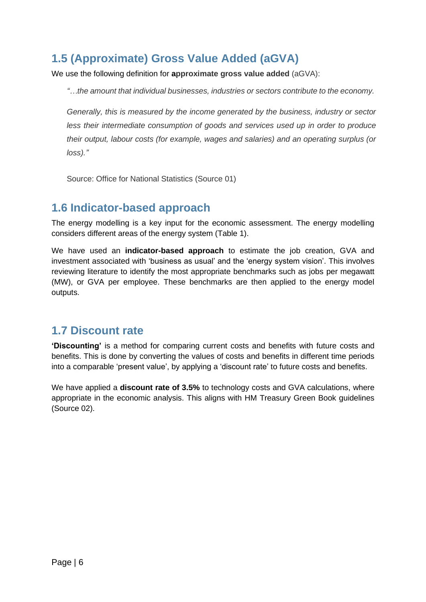### <span id="page-5-0"></span>**1.5 (Approximate) Gross Value Added (aGVA)**

We use the following definition for **approximate gross value added** (aGVA):

*"…the amount that individual businesses, industries or sectors contribute to the economy.*

*Generally, this is measured by the income generated by the business, industry or sector less their intermediate consumption of goods and services used up in order to produce their output, labour costs (for example, wages and salaries) and an operating surplus (or loss)."*

Source: Office for National Statistics (Source 01)

#### <span id="page-5-1"></span>**1.6 Indicator-based approach**

The energy modelling is a key input for the economic assessment. The energy modelling considers different areas of the energy system [\(Table 1\)](#page-6-0).

We have used an **indicator-based approach** to estimate the job creation, GVA and investment associated with 'business as usual' and the 'energy system vision'. This involves reviewing literature to identify the most appropriate benchmarks such as jobs per megawatt (MW), or GVA per employee. These benchmarks are then applied to the energy model outputs.

#### <span id="page-5-2"></span>**1.7 Discount rate**

**'Discounting'** is a method for comparing current costs and benefits with future costs and benefits. This is done by converting the values of costs and benefits in different time periods into a comparable 'present value', by applying a 'discount rate' to future costs and benefits.

We have applied a **discount rate of 3.5%** to technology costs and GVA calculations, where appropriate in the economic analysis. This aligns with HM Treasury Green Book guidelines (Source 02).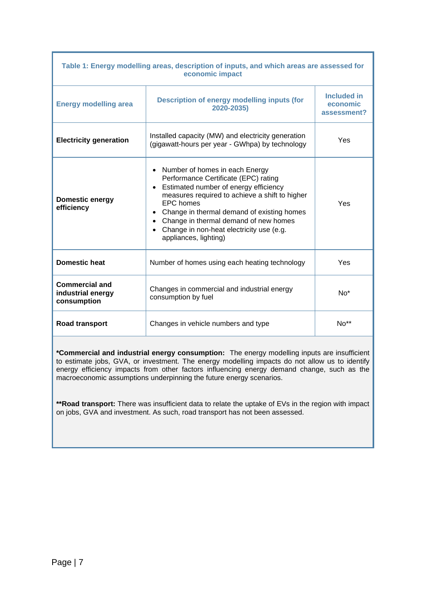<span id="page-6-0"></span>

| Table 1: Energy modelling areas, description of inputs, and which areas are assessed for<br>economic impact |                                                                                                                                                                                                                                                                                                                                                         |                                        |  |  |
|-------------------------------------------------------------------------------------------------------------|---------------------------------------------------------------------------------------------------------------------------------------------------------------------------------------------------------------------------------------------------------------------------------------------------------------------------------------------------------|----------------------------------------|--|--|
| <b>Energy modelling area</b>                                                                                | <b>Description of energy modelling inputs (for</b><br>2020-2035)                                                                                                                                                                                                                                                                                        | Included in<br>economic<br>assessment? |  |  |
| <b>Electricity generation</b>                                                                               | Installed capacity (MW) and electricity generation<br>(gigawatt-hours per year - GWhpa) by technology                                                                                                                                                                                                                                                   | Yes                                    |  |  |
| <b>Domestic energy</b><br>efficiency                                                                        | • Number of homes in each Energy<br>Performance Certificate (EPC) rating<br>Estimated number of energy efficiency<br>measures required to achieve a shift to higher<br><b>EPC</b> homes<br>• Change in thermal demand of existing homes<br>• Change in thermal demand of new homes<br>Change in non-heat electricity use (e.g.<br>appliances, lighting) | Yes                                    |  |  |
| <b>Domestic heat</b>                                                                                        | Number of homes using each heating technology                                                                                                                                                                                                                                                                                                           | Yes                                    |  |  |
| <b>Commercial and</b><br>industrial energy<br>consumption                                                   | Changes in commercial and industrial energy<br>consumption by fuel                                                                                                                                                                                                                                                                                      | $No*$                                  |  |  |
| <b>Road transport</b>                                                                                       | Changes in vehicle numbers and type                                                                                                                                                                                                                                                                                                                     | $No**$                                 |  |  |

**\*Commercial and industrial energy consumption:** The energy modelling inputs are insufficient to estimate jobs, GVA, or investment. The energy modelling impacts do not allow us to identify energy efficiency impacts from other factors influencing energy demand change, such as the macroeconomic assumptions underpinning the future energy scenarios.

**\*\*Road transport:** There was insufficient data to relate the uptake of EVs in the region with impact on jobs, GVA and investment. As such, road transport has not been assessed.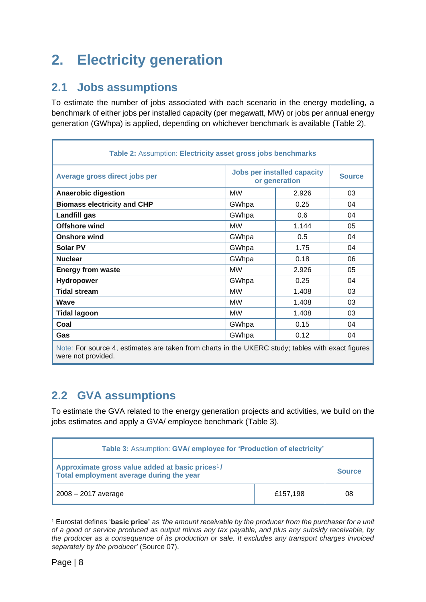## <span id="page-7-0"></span>**2. Electricity generation**

#### <span id="page-7-1"></span>**2.1 Jobs assumptions**

To estimate the number of jobs associated with each scenario in the energy modelling, a benchmark of either jobs per installed capacity (per megawatt, MW) or jobs per annual energy generation (GWhpa) is applied, depending on whichever benchmark is available (Table 2).

| Table 2: Assumption: Electricity asset gross jobs benchmarks                                                    |           |                                                     |               |  |
|-----------------------------------------------------------------------------------------------------------------|-----------|-----------------------------------------------------|---------------|--|
| Average gross direct jobs per                                                                                   |           | <b>Jobs per installed capacity</b><br>or generation |               |  |
| <b>Anaerobic digestion</b>                                                                                      | <b>MW</b> | 2.926                                               | 03            |  |
| <b>Biomass electricity and CHP</b>                                                                              | GWhpa     | 0.25                                                | 04            |  |
| Landfill gas                                                                                                    | GWhpa     | 0.6                                                 | 04            |  |
| <b>Offshore wind</b>                                                                                            | <b>MW</b> | 1.144                                               | 05            |  |
| <b>Onshore wind</b>                                                                                             | GWhpa     | 0.5                                                 | 04            |  |
| <b>Solar PV</b>                                                                                                 | GWhpa     | 1.75                                                | 04            |  |
| <b>Nuclear</b>                                                                                                  | GWhpa     | 0.18                                                | 06            |  |
| <b>Energy from waste</b>                                                                                        | <b>MW</b> | 2.926                                               | 05            |  |
| <b>Hydropower</b>                                                                                               | GWhpa     | 0.25                                                | 04            |  |
| <b>Tidal stream</b>                                                                                             | <b>MW</b> | 1.408                                               | 03            |  |
| Wave                                                                                                            | <b>MW</b> | 1.408                                               | 03            |  |
| <b>Tidal lagoon</b>                                                                                             | <b>MW</b> | 1.408                                               | 03            |  |
| Coal                                                                                                            | GWhpa     | 0.15                                                | 04            |  |
| Gas                                                                                                             | GWhpa     | 0.12                                                | 04            |  |
| the contract of the contract of the contract of the contract of the contract of the contract of the contract of |           |                                                     | $\sim$ $\sim$ |  |

Note: For source 4, estimates are taken from charts in the UKERC study; tables with exact figures were not provided.

### <span id="page-7-2"></span>**2.2 GVA assumptions**

To estimate the GVA related to the energy generation projects and activities, we build on the jobs estimates and apply a GVA/ employee benchmark (Table 3).

| Table 3: Assumption: GVA/ employee for 'Production of electricity'                                       |          |               |  |
|----------------------------------------------------------------------------------------------------------|----------|---------------|--|
| Approximate gross value added at basic prices <sup>1</sup> /<br>Total employment average during the year |          | <b>Source</b> |  |
| $2008 - 2017$ average                                                                                    | £157.198 | 08            |  |

<sup>1</sup> Eurostat defines '**basic price'** as *'the amount receivable by the producer from the purchaser for a unit of a good or service produced as output minus any tax payable, and plus any subsidy receivable, by the producer as a consequence of its production or sale. It excludes any transport charges invoiced separately by the producer'* (Source 07).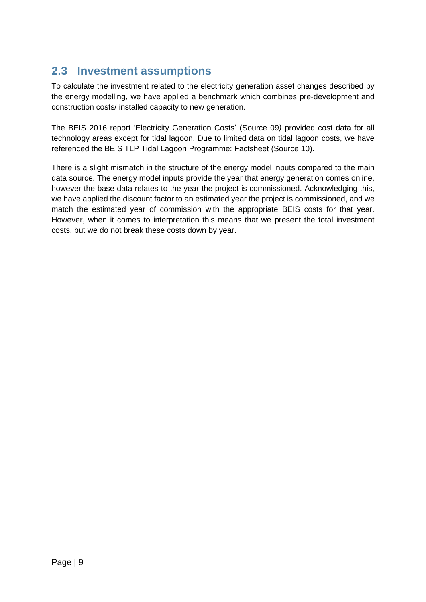### <span id="page-8-0"></span>**2.3 Investment assumptions**

To calculate the investment related to the electricity generation asset changes described by the energy modelling, we have applied a benchmark which combines pre-development and construction costs/ installed capacity to new generation.

The BEIS 2016 report 'Electricity Generation Costs' (Source 09*)* provided cost data for all technology areas except for tidal lagoon. Due to limited data on tidal lagoon costs, we have referenced the BEIS TLP Tidal Lagoon Programme: Factsheet (Source 10).

There is a slight mismatch in the structure of the energy model inputs compared to the main data source. The energy model inputs provide the year that energy generation comes online, however the base data relates to the year the project is commissioned. Acknowledging this, we have applied the discount factor to an estimated year the project is commissioned, and we match the estimated year of commission with the appropriate BEIS costs for that year. However, when it comes to interpretation this means that we present the total investment costs, but we do not break these costs down by year.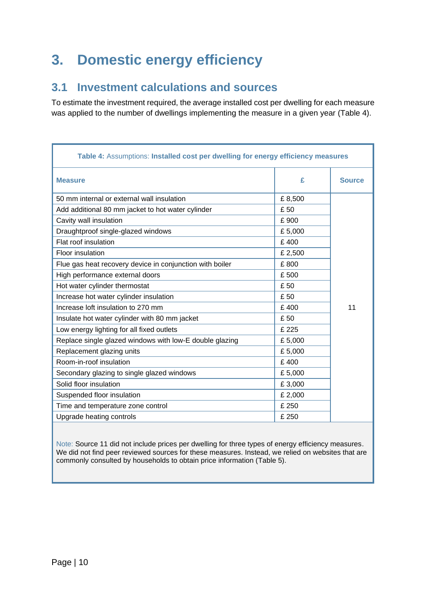### <span id="page-9-0"></span>**3. Domestic energy efficiency**

#### <span id="page-9-1"></span>**3.1 Investment calculations and sources**

To estimate the investment required, the average installed cost per dwelling for each measure was applied to the number of dwellings implementing the measure in a given year (Table 4).

| Table 4: Assumptions: Installed cost per dwelling for energy efficiency measures |         |               |  |
|----------------------------------------------------------------------------------|---------|---------------|--|
| <b>Measure</b>                                                                   | £       | <b>Source</b> |  |
| 50 mm internal or external wall insulation                                       | £8,500  |               |  |
| Add additional 80 mm jacket to hot water cylinder                                | £50     |               |  |
| Cavity wall insulation                                                           | £900    |               |  |
| Draughtproof single-glazed windows                                               | £5,000  |               |  |
| Flat roof insulation                                                             | £400    |               |  |
| Floor insulation                                                                 | £ 2,500 |               |  |
| Flue gas heat recovery device in conjunction with boiler                         | £800    |               |  |
| High performance external doors                                                  | £500    |               |  |
| Hot water cylinder thermostat                                                    | £50     |               |  |
| Increase hot water cylinder insulation                                           | £50     |               |  |
| Increase loft insulation to 270 mm                                               | £400    | 11            |  |
| Insulate hot water cylinder with 80 mm jacket                                    | £ 50    |               |  |
| Low energy lighting for all fixed outlets                                        | £ 225   |               |  |
| Replace single glazed windows with low-E double glazing                          | £5,000  |               |  |
| Replacement glazing units                                                        | £5,000  |               |  |
| Room-in-roof insulation                                                          | £400    |               |  |
| Secondary glazing to single glazed windows                                       | £5,000  |               |  |
| Solid floor insulation                                                           | £3,000  |               |  |
| Suspended floor insulation                                                       | £ 2,000 |               |  |
| Time and temperature zone control                                                | £ 250   |               |  |
| Upgrade heating controls                                                         | £ 250   |               |  |

Note: Source 11 did not include prices per dwelling for three types of energy efficiency measures. We did not find peer reviewed sources for these measures. Instead, we relied on websites that are commonly consulted by households to obtain price information [\(Table 5\)](#page-10-1).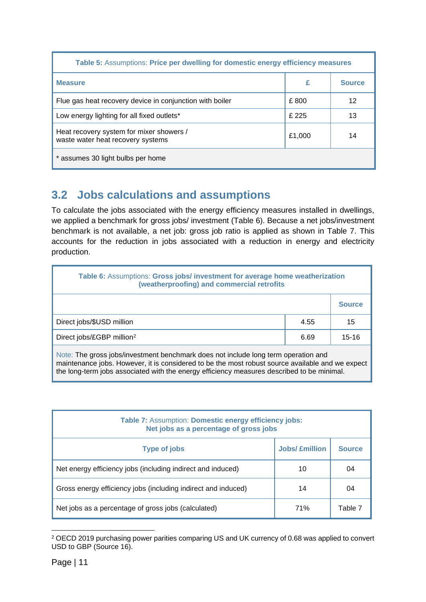<span id="page-10-1"></span>

| Table 5: Assumptions: Price per dwelling for domestic energy efficiency measures |        |               |  |
|----------------------------------------------------------------------------------|--------|---------------|--|
| <b>Measure</b>                                                                   | £      | <b>Source</b> |  |
| Flue gas heat recovery device in conjunction with boiler                         | £800   | 12            |  |
| Low energy lighting for all fixed outlets*                                       | £225   | 13            |  |
| Heat recovery system for mixer showers /<br>waste water heat recovery systems    | £1.000 | 14            |  |
| * assumes 30 light bulbs per home                                                |        |               |  |

### <span id="page-10-0"></span>**3.2 Jobs calculations and assumptions**

To calculate the jobs associated with the energy efficiency measures installed in dwellings, we applied a benchmark for gross jobs/ investment [\(Table 6\)](#page-10-2). Because a net jobs/investment benchmark is not available, a net job: gross job ratio is applied as shown in Table 7. This accounts for the reduction in jobs associated with a reduction in energy and electricity production.

<span id="page-10-2"></span>

| Table 6: Assumptions: Gross jobs/ investment for average home weatherization<br>(weatherproofing) and commercial retrofits |      |               |  |
|----------------------------------------------------------------------------------------------------------------------------|------|---------------|--|
|                                                                                                                            |      | <b>Source</b> |  |
| Direct jobs/\$USD million                                                                                                  | 4.55 | 15            |  |
| Direct jobs/£GBP million <sup>2</sup>                                                                                      | 6.69 | $15 - 16$     |  |
| Note: The gross jobs/investment benchmark does not include long term operation and                                         |      |               |  |

maintenance jobs. However, it is considered to be the most robust source available and we expect the long-term jobs associated with the energy efficiency measures described to be minimal.

| Table 7: Assumption: Domestic energy efficiency jobs:<br>Net jobs as a percentage of gross jobs |                       |               |  |
|-------------------------------------------------------------------------------------------------|-----------------------|---------------|--|
| <b>Type of jobs</b>                                                                             | <b>Jobs/ £million</b> | <b>Source</b> |  |
| Net energy efficiency jobs (including indirect and induced)                                     | 10                    | 04            |  |
| Gross energy efficiency jobs (including indirect and induced)                                   | 14                    | 04            |  |
| Net jobs as a percentage of gross jobs (calculated)                                             | 71%                   | Table 7       |  |

<sup>2</sup> OECD 2019 purchasing power parities comparing US and UK currency of 0.68 was applied to convert USD to GBP (Source 16).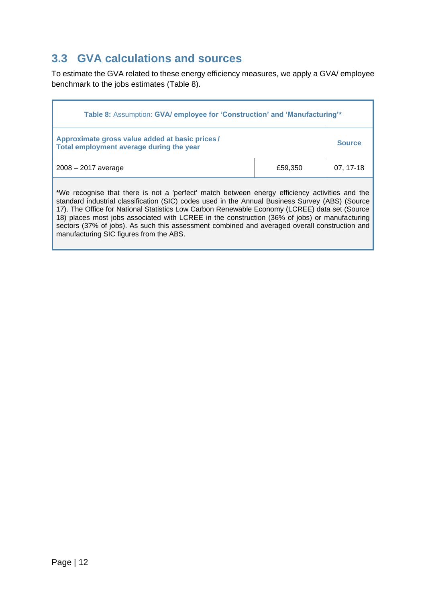#### <span id="page-11-0"></span>**3.3 GVA calculations and sources**

To estimate the GVA related to these energy efficiency measures, we apply a GVA/ employee benchmark to the jobs estimates (Table 8).

| Table 8: Assumption: GVA/ employee for 'Construction' and 'Manufacturing'*                                                                                                                                                                                                                                                                                                                                                                                                                                                                      |         |          |  |
|-------------------------------------------------------------------------------------------------------------------------------------------------------------------------------------------------------------------------------------------------------------------------------------------------------------------------------------------------------------------------------------------------------------------------------------------------------------------------------------------------------------------------------------------------|---------|----------|--|
| Approximate gross value added at basic prices/<br>Total employment average during the year                                                                                                                                                                                                                                                                                                                                                                                                                                                      |         |          |  |
| $2008 - 2017$ average                                                                                                                                                                                                                                                                                                                                                                                                                                                                                                                           | £59,350 | 07.17-18 |  |
| *We recognise that there is not a 'perfect' match between energy efficiency activities and the<br>standard industrial classification (SIC) codes used in the Annual Business Survey (ABS) (Source<br>17). The Office for National Statistics Low Carbon Renewable Economy (LCREE) data set (Source<br>18) places most jobs associated with LCREE in the construction (36% of jobs) or manufacturing<br>sectors (37% of jobs). As such this assessment combined and averaged overall construction and<br>manufacturing SIC figures from the ABS. |         |          |  |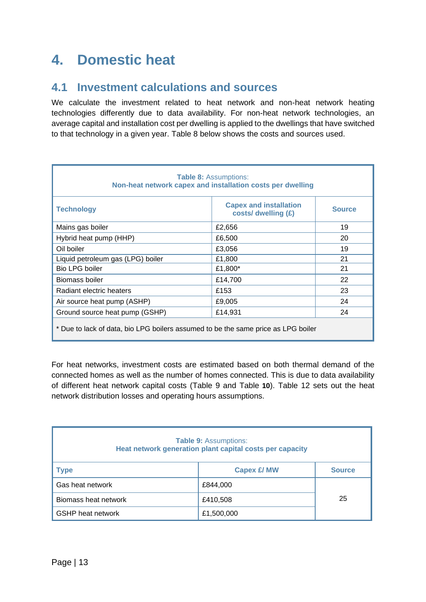### <span id="page-12-0"></span>**4. Domestic heat**

#### <span id="page-12-1"></span>**4.1 Investment calculations and sources**

We calculate the investment related to heat network and non-heat network heating technologies differently due to data availability. For non-heat network technologies, an average capital and installation cost per dwelling is applied to the dwellings that have switched to that technology in a given year. [Table 8](#page-12-2) below shows the costs and sources used.

<span id="page-12-2"></span>

| <b>Table 8: Assumptions:</b><br>Non-heat network capex and installation costs per dwelling |                                                      |               |  |  |
|--------------------------------------------------------------------------------------------|------------------------------------------------------|---------------|--|--|
| <b>Technology</b>                                                                          | <b>Capex and installation</b><br>costs/ dwelling (£) | <b>Source</b> |  |  |
| Mains gas boiler                                                                           | £2,656                                               | 19            |  |  |
| Hybrid heat pump (HHP)                                                                     | £6,500                                               | 20            |  |  |
| Oil boiler                                                                                 | £3,056                                               | 19            |  |  |
| Liquid petroleum gas (LPG) boiler                                                          | £1,800                                               | 21            |  |  |
| <b>Bio LPG boiler</b>                                                                      | £1,800*                                              | 21            |  |  |
| Biomass boiler                                                                             | £14,700                                              | 22            |  |  |
| Radiant electric heaters                                                                   | £153                                                 | 23            |  |  |
| Air source heat pump (ASHP)                                                                | £9,005                                               | 24            |  |  |
| Ground source heat pump (GSHP)                                                             | £14,931                                              | 24            |  |  |
| * Due to lack of data, bio LPG boilers assumed to be the same price as LPG boiler          |                                                      |               |  |  |

For heat networks, investment costs are estimated based on both thermal demand of the connected homes as well as the number of homes connected. This is due to data availability of different heat network capital costs [\(Table 9](#page-12-3) and [Table](#page-13-1) **[10](#page-13-1)**). Table 12 sets out the heat network distribution losses and operating hours assumptions.

<span id="page-12-3"></span>

| <b>Table 9: Assumptions:</b><br>Heat network generation plant capital costs per capacity |                    |               |  |
|------------------------------------------------------------------------------------------|--------------------|---------------|--|
| <b>Type</b>                                                                              | <b>Capex £/ MW</b> | <b>Source</b> |  |
| Gas heat network                                                                         | £844,000           |               |  |
| Biomass heat network                                                                     | £410,508           | 25            |  |
| <b>GSHP</b> heat network                                                                 | £1,500,000         |               |  |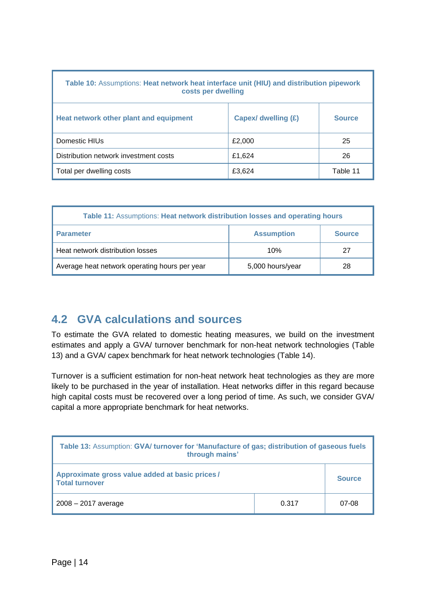<span id="page-13-1"></span>

| Table 10: Assumptions: Heat network heat interface unit (HIU) and distribution pipework<br>costs per dwelling |                     |               |  |  |
|---------------------------------------------------------------------------------------------------------------|---------------------|---------------|--|--|
| Heat network other plant and equipment                                                                        | Capex/ dwelling (£) | <b>Source</b> |  |  |
| Domestic HIUs                                                                                                 | £2,000              | 25            |  |  |
| Distribution network investment costs                                                                         | £1,624              | 26            |  |  |
| Total per dwelling costs                                                                                      | £3,624              | Table 11      |  |  |

| Table 11: Assumptions: Heat network distribution losses and operating hours |                   |               |
|-----------------------------------------------------------------------------|-------------------|---------------|
| <b>Parameter</b>                                                            | <b>Assumption</b> | <b>Source</b> |
| Heat network distribution losses                                            | 10%               | 27            |
| Average heat network operating hours per year                               | 5,000 hours/year  | 28            |

#### <span id="page-13-0"></span>**4.2 GVA calculations and sources**

To estimate the GVA related to domestic heating measures, we build on the investment estimates and apply a GVA/ turnover benchmark for non-heat network technologies (Table 13) and a GVA/ capex benchmark for heat network technologies (Table 14).

Turnover is a sufficient estimation for non-heat network heat technologies as they are more likely to be purchased in the year of installation. Heat networks differ in this regard because high capital costs must be recovered over a long period of time. As such, we consider GVA/ capital a more appropriate benchmark for heat networks.

| Table 13: Assumption: GVA/ turnover for 'Manufacture of gas; distribution of gaseous fuels<br>through mains' |       |        |
|--------------------------------------------------------------------------------------------------------------|-------|--------|
| Approximate gross value added at basic prices/<br><b>Total turnover</b>                                      |       | Source |
| $2008 - 2017$ average                                                                                        | 0.317 | 07-08  |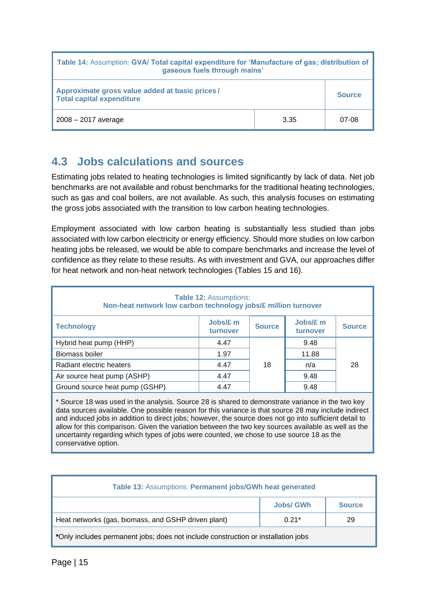| Table 14: Assumption: GVA/ Total capital expenditure for 'Manufacture of gas; distribution of<br>gaseous fuels through mains' |      |        |
|-------------------------------------------------------------------------------------------------------------------------------|------|--------|
| Approximate gross value added at basic prices/<br><b>Total capital expenditure</b>                                            |      | Source |
| $2008 - 2017$ average                                                                                                         | 3.35 | 07-08  |

#### <span id="page-14-0"></span>**4.3 Jobs calculations and sources**

Estimating jobs related to heating technologies is limited significantly by lack of data. Net job benchmarks are not available and robust benchmarks for the traditional heating technologies, such as gas and coal boilers, are not available. As such, this analysis focuses on estimating the gross jobs associated with the transition to low carbon heating technologies.

Employment associated with low carbon heating is substantially less studied than jobs associated with low carbon electricity or energy efficiency. Should more studies on low carbon heating jobs be released, we would be able to compare benchmarks and increase the level of confidence as they relate to these results. As with investment and GVA, our approaches differ for heat network and non-heat network technologies (Tables 15 and 16).

| <b>Table 12: Assumptions:</b><br>Non-heat network low carbon technology jobs/£ million turnover |                      |               |                      |               |
|-------------------------------------------------------------------------------------------------|----------------------|---------------|----------------------|---------------|
| <b>Technology</b>                                                                               | Jobs/£ m<br>turnover | <b>Source</b> | Jobs/£ m<br>turnover | <b>Source</b> |
| Hybrid heat pump (HHP)                                                                          | 4.47                 |               | 9.48                 |               |
| <b>Biomass boiler</b>                                                                           | 1.97                 |               | 11.88                |               |
| Radiant electric heaters                                                                        | 4.47                 | 18            | n/a                  | 28            |
| Air source heat pump (ASHP)                                                                     | 4.47                 |               | 9.48                 |               |
| Ground source heat pump (GSHP)                                                                  | 4.47                 |               | 9.48                 |               |

\* Source 18 was used in the analysis. Source 28 is shared to demonstrate variance in the two key data sources available. One possible reason for this variance is that source 28 may include indirect and induced jobs in addition to direct jobs; however, the source does not go into sufficient detail to allow for this comparison. Given the variation between the two key sources available as well as the uncertainty regarding which types of jobs were counted, we chose to use source 18 as the conservative option.

| Table 13: Assumptions: Permanent jobs/GWh heat generated                          |                  |               |
|-----------------------------------------------------------------------------------|------------------|---------------|
|                                                                                   | <b>Jobs/ GWh</b> | <b>Source</b> |
| Heat networks (gas, biomass, and GSHP driven plant)                               | $0.21*$          | 29            |
| *Only includes permanent jobs; does not include construction or installation jobs |                  |               |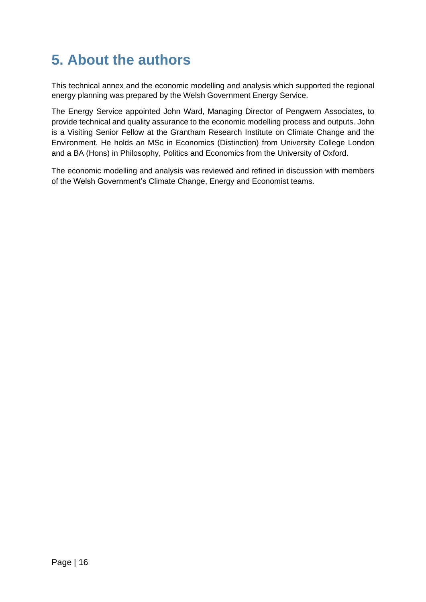## <span id="page-15-0"></span>**5. About the authors**

This technical annex and the economic modelling and analysis which supported the regional energy planning was prepared by the Welsh Government Energy Service.

The Energy Service appointed John Ward, Managing Director of Pengwern Associates, to provide technical and quality assurance to the economic modelling process and outputs. John is a Visiting Senior Fellow at the Grantham Research Institute on Climate Change and the Environment. He holds an MSc in Economics (Distinction) from University College London and a BA (Hons) in Philosophy, Politics and Economics from the University of Oxford.

The economic modelling and analysis was reviewed and refined in discussion with members of the Welsh Government's Climate Change, Energy and Economist teams.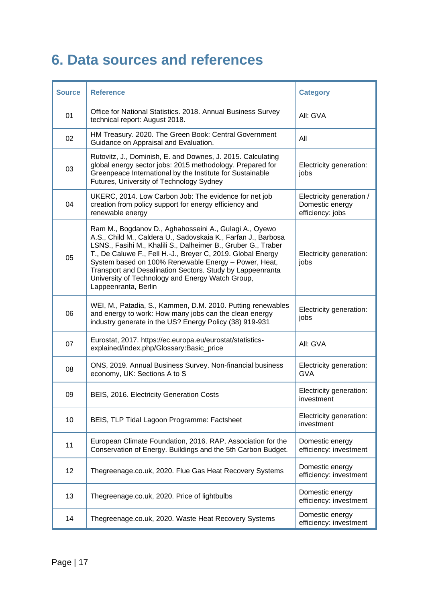## <span id="page-16-0"></span>**6. Data sources and references**

| <b>Source</b> | <b>Reference</b>                                                                                                                                                                                                                                                                                                                                                                                                                                         | <b>Category</b>                                                 |
|---------------|----------------------------------------------------------------------------------------------------------------------------------------------------------------------------------------------------------------------------------------------------------------------------------------------------------------------------------------------------------------------------------------------------------------------------------------------------------|-----------------------------------------------------------------|
| 01            | Office for National Statistics. 2018. Annual Business Survey<br>technical report: August 2018.                                                                                                                                                                                                                                                                                                                                                           | All: GVA                                                        |
| 02            | HM Treasury. 2020. The Green Book: Central Government<br>Guidance on Appraisal and Evaluation.                                                                                                                                                                                                                                                                                                                                                           | All                                                             |
| 03            | Rutovitz, J., Dominish, E. and Downes, J. 2015. Calculating<br>global energy sector jobs: 2015 methodology. Prepared for<br>Greenpeace International by the Institute for Sustainable<br>Futures, University of Technology Sydney                                                                                                                                                                                                                        | Electricity generation:<br>jobs                                 |
| 04            | UKERC, 2014. Low Carbon Job: The evidence for net job<br>creation from policy support for energy efficiency and<br>renewable energy                                                                                                                                                                                                                                                                                                                      | Electricity generation /<br>Domestic energy<br>efficiency: jobs |
| 05            | Ram M., Bogdanov D., Aghahosseini A., Gulagi A., Oyewo<br>A.S., Child M., Caldera U., Sadovskaia K., Farfan J., Barbosa<br>LSNS., Fasihi M., Khalili S., Dalheimer B., Gruber G., Traber<br>T., De Caluwe F., Fell H.-J., Breyer C, 2019. Global Energy<br>System based on 100% Renewable Energy - Power, Heat,<br>Transport and Desalination Sectors. Study by Lappeenranta<br>University of Technology and Energy Watch Group,<br>Lappeenranta, Berlin | Electricity generation:<br>jobs                                 |
| 06            | WEI, M., Patadia, S., Kammen, D.M. 2010. Putting renewables<br>and energy to work: How many jobs can the clean energy<br>industry generate in the US? Energy Policy (38) 919-931                                                                                                                                                                                                                                                                         | Electricity generation:<br>jobs                                 |
| 07            | Eurostat, 2017. https://ec.europa.eu/eurostat/statistics-<br>explained/index.php/Glossary:Basic_price                                                                                                                                                                                                                                                                                                                                                    | All: GVA                                                        |
| 08            | ONS, 2019. Annual Business Survey. Non-financial business<br>economy, UK: Sections A to S                                                                                                                                                                                                                                                                                                                                                                | Electricity generation:<br><b>GVA</b>                           |
| 09            | BEIS, 2016. Electricity Generation Costs                                                                                                                                                                                                                                                                                                                                                                                                                 | Electricity generation:<br>investment                           |
| 10            | BEIS, TLP Tidal Lagoon Programme: Factsheet                                                                                                                                                                                                                                                                                                                                                                                                              | Electricity generation:<br>investment                           |
| 11            | European Climate Foundation, 2016. RAP, Association for the<br>Conservation of Energy. Buildings and the 5th Carbon Budget.                                                                                                                                                                                                                                                                                                                              | Domestic energy<br>efficiency: investment                       |
| 12            | Thegreenage.co.uk, 2020. Flue Gas Heat Recovery Systems                                                                                                                                                                                                                                                                                                                                                                                                  | Domestic energy<br>efficiency: investment                       |
| 13            | Thegreenage.co.uk, 2020. Price of lightbulbs                                                                                                                                                                                                                                                                                                                                                                                                             | Domestic energy<br>efficiency: investment                       |
| 14            | Thegreenage.co.uk, 2020. Waste Heat Recovery Systems                                                                                                                                                                                                                                                                                                                                                                                                     | Domestic energy<br>efficiency: investment                       |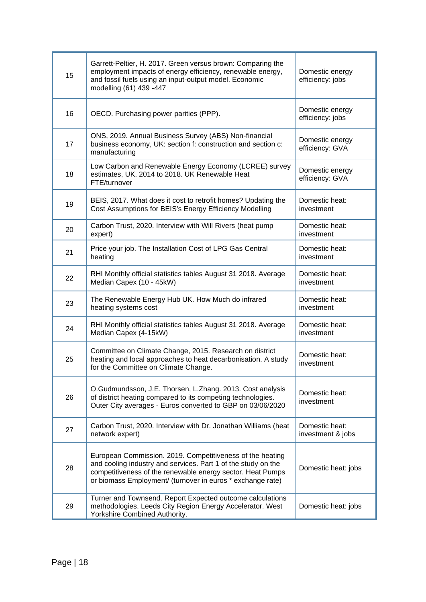| 15 | Garrett-Peltier, H. 2017. Green versus brown: Comparing the<br>employment impacts of energy efficiency, renewable energy,<br>and fossil fuels using an input-output model. Economic<br>modelling (61) 439 -447                                         | Domestic energy<br>efficiency: jobs |
|----|--------------------------------------------------------------------------------------------------------------------------------------------------------------------------------------------------------------------------------------------------------|-------------------------------------|
| 16 | OECD. Purchasing power parities (PPP).                                                                                                                                                                                                                 | Domestic energy<br>efficiency: jobs |
| 17 | ONS, 2019. Annual Business Survey (ABS) Non-financial<br>business economy, UK: section f: construction and section c:<br>manufacturing                                                                                                                 | Domestic energy<br>efficiency: GVA  |
| 18 | Low Carbon and Renewable Energy Economy (LCREE) survey<br>estimates, UK, 2014 to 2018. UK Renewable Heat<br>FTE/turnover                                                                                                                               | Domestic energy<br>efficiency: GVA  |
| 19 | BEIS, 2017. What does it cost to retrofit homes? Updating the<br>Cost Assumptions for BEIS's Energy Efficiency Modelling                                                                                                                               | Domestic heat:<br>investment        |
| 20 | Carbon Trust, 2020. Interview with Will Rivers (heat pump<br>expert)                                                                                                                                                                                   | Domestic heat:<br>investment        |
| 21 | Price your job. The Installation Cost of LPG Gas Central<br>heating                                                                                                                                                                                    | Domestic heat:<br>investment        |
| 22 | RHI Monthly official statistics tables August 31 2018. Average<br>Median Capex (10 - 45kW)                                                                                                                                                             | Domestic heat:<br>investment        |
| 23 | The Renewable Energy Hub UK. How Much do infrared<br>heating systems cost                                                                                                                                                                              | Domestic heat:<br>investment        |
| 24 | RHI Monthly official statistics tables August 31 2018. Average<br>Median Capex (4-15kW)                                                                                                                                                                | Domestic heat:<br>investment        |
| 25 | Committee on Climate Change, 2015. Research on district<br>heating and local approaches to heat decarbonisation. A study<br>for the Committee on Climate Change.                                                                                       | Domestic heat:<br>investment        |
| 26 | O.Gudmundsson, J.E. Thorsen, L.Zhang. 2013. Cost analysis<br>of district heating compared to its competing technologies.<br>Outer City averages - Euros converted to GBP on 03/06/2020                                                                 | Domestic heat:<br>investment        |
| 27 | Carbon Trust, 2020. Interview with Dr. Jonathan Williams (heat<br>network expert)                                                                                                                                                                      | Domestic heat:<br>investment & jobs |
| 28 | European Commission. 2019. Competitiveness of the heating<br>and cooling industry and services. Part 1 of the study on the<br>competitiveness of the renewable energy sector. Heat Pumps<br>or biomass Employment/ (turnover in euros * exchange rate) | Domestic heat: jobs                 |
| 29 | Turner and Townsend. Report Expected outcome calculations<br>methodologies. Leeds City Region Energy Accelerator. West<br>Yorkshire Combined Authority.                                                                                                | Domestic heat: jobs                 |